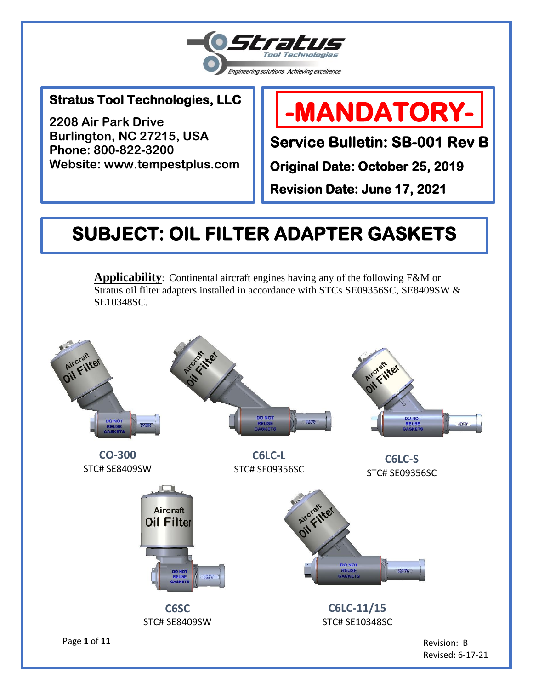

### 1 **Stratus Tool Technologies, LLC**

**2208 Air Park Drive Burlington, NC 27215, USA Phone: 800-822-3200 Website: www.tempestplus.com**

# **-MANDATORY-**

**Service Bulletin: SB-001 Rev B** 

**Original Date: October 25, 2019** 

**Revision Date: June 17, 2021** 

## **SUBJECT: OIL FILTER ADAPTER GASKETS**

**Applicability**: Continental aircraft engines having any of the following F&M or Stratus oil filter adapters installed in accordance with STCs SE09356SC, SE8409SW & SE10348SC.



Revised: 6-17-21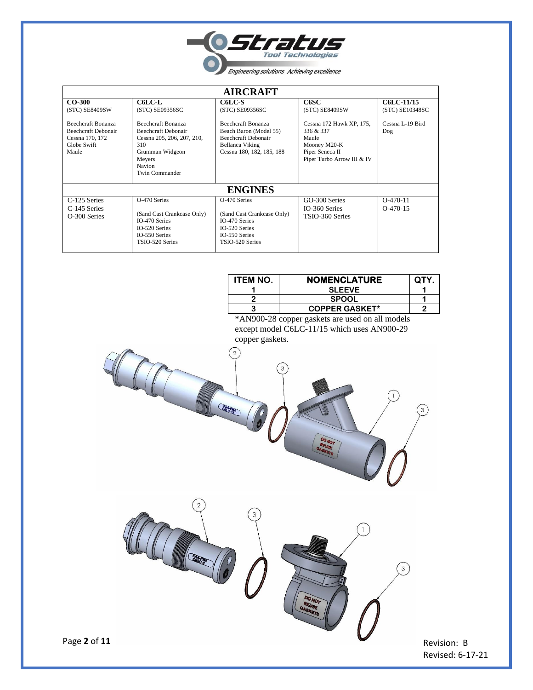

| <b>AIRCRAFT</b>                                                                                                           |                                                                                                                                                                             |                                                                                                                                                                |                                                                                                                                           |                                                          |  |  |
|---------------------------------------------------------------------------------------------------------------------------|-----------------------------------------------------------------------------------------------------------------------------------------------------------------------------|----------------------------------------------------------------------------------------------------------------------------------------------------------------|-------------------------------------------------------------------------------------------------------------------------------------------|----------------------------------------------------------|--|--|
| $CO-300$<br>(STC) SE8409SW<br><b>Beechcraft Bonanza</b><br>Beechcraft Debonair<br>Cessna 170, 172<br>Globe Swift<br>Maule | C6LC-L<br>(STC) SE09356SC<br><b>Beechcraft Bonanza</b><br>Beechcraft Debonair<br>Cessna 205, 206, 207, 210,<br>310<br>Grumman Widgeon<br>Meyers<br>Navion<br>Twin Commander | C6LC-S<br>(STC) SE09356SC<br><b>Beechcraft Bonanza</b><br>Beach Baron (Model 55)<br><b>Beechcraft Debonair</b><br>Bellanca Viking<br>Cessna 180, 182, 185, 188 | C6SC<br>(STC) SE8409SW<br>Cessna 172 Hawk XP, 175,<br>336 & 337<br>Maule<br>Mooney M20-K<br>Piper Seneca II<br>Piper Turbo Arrow III & IV | C6LC-11/15<br>(STC) SE10348SC<br>Cessna L-19 Bird<br>Dog |  |  |
| <b>ENGINES</b>                                                                                                            |                                                                                                                                                                             |                                                                                                                                                                |                                                                                                                                           |                                                          |  |  |
| C-125 Series<br>C-145 Series<br>O-300 Series                                                                              | O-470 Series<br>(Sand Cast Crankcase Only)<br>IO-470 Series<br>IO-520 Series<br>IO-550 Series<br>TSIO-520 Series                                                            | O-470 Series<br>(Sand Cast Crankcase Only)<br>IO-470 Series<br>IO-520 Series<br>IO-550 Series<br>TSIO-520 Series                                               | GO-300 Series<br>IO-360 Series<br>TSIO-360 Series                                                                                         | $O-470-11$<br>$O-470-15$                                 |  |  |

 $\mathfrak{D}$ 

| <b>ITEM NO.</b> | <b>NOMENCLATURE</b>   | <b>OTY</b> |  |
|-----------------|-----------------------|------------|--|
|                 | <b>SLEEVE</b>         |            |  |
|                 | <b>SPOOL</b>          |            |  |
|                 | <b>COPPER GASKET*</b> |            |  |
|                 |                       |            |  |

\*AN900-28 copper gaskets are used on all models except model C6LC-11/15 which uses AN900-29 copper gaskets.



 $\overline{3}$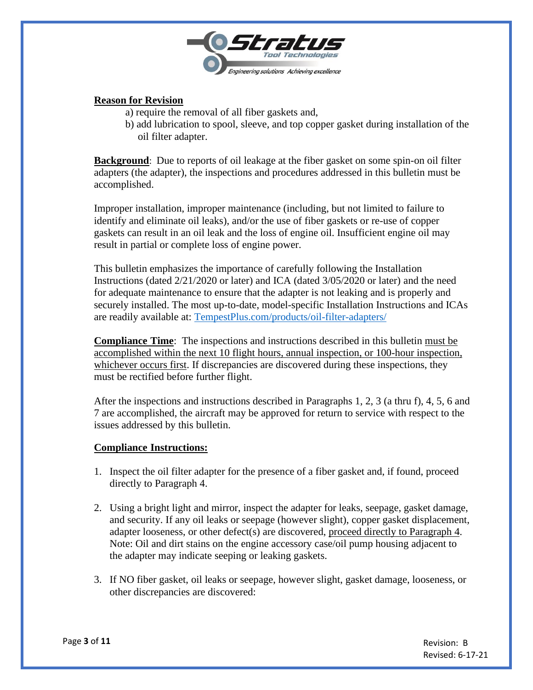

#### **Reason for Revision**

- a) require the removal of all fiber gaskets and,
- b) add lubrication to spool, sleeve, and top copper gasket during installation of the oil filter adapter.

**Background**: Due to reports of oil leakage at the fiber gasket on some spin-on oil filter adapters (the adapter), the inspections and procedures addressed in this bulletin must be accomplished.

Improper installation, improper maintenance (including, but not limited to failure to identify and eliminate oil leaks), and/or the use of fiber gaskets or re-use of copper gaskets can result in an oil leak and the loss of engine oil. Insufficient engine oil may result in partial or complete loss of engine power.

This bulletin emphasizes the importance of carefully following the Installation Instructions (dated 2/21/2020 or later) and ICA (dated 3/05/2020 or later) and the need for adequate maintenance to ensure that the adapter is not leaking and is properly and securely installed. The most up-to-date, model-specific Installation Instructions and ICAs are readily available at: [TempestPlus.com/products/oil-filter-adapters/](https://tempestplus.com/product/oil-filter-adapters/)

**Compliance Time**: The inspections and instructions described in this bulletin must be accomplished within the next 10 flight hours, annual inspection, or 100-hour inspection, whichever occurs first. If discrepancies are discovered during these inspections, they must be rectified before further flight.

After the inspections and instructions described in Paragraphs 1, 2, 3 (a thru f), 4, 5, 6 and 7 are accomplished, the aircraft may be approved for return to service with respect to the issues addressed by this bulletin.

#### **Compliance Instructions:**

- 1. Inspect the oil filter adapter for the presence of a fiber gasket and, if found, proceed directly to Paragraph 4.
- 2. Using a bright light and mirror, inspect the adapter for leaks, seepage, gasket damage, and security. If any oil leaks or seepage (however slight), copper gasket displacement, adapter looseness, or other defect(s) are discovered, proceed directly to Paragraph 4. Note: Oil and dirt stains on the engine accessory case/oil pump housing adjacent to the adapter may indicate seeping or leaking gaskets.
- 3. If NO fiber gasket, oil leaks or seepage, however slight, gasket damage, looseness, or other discrepancies are discovered: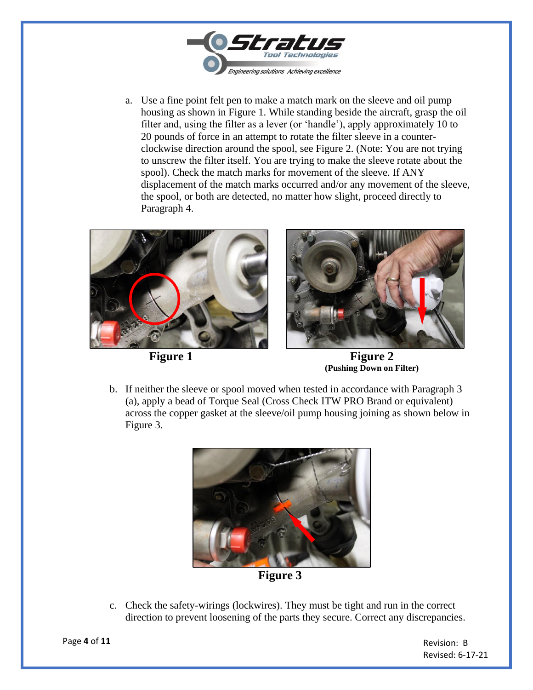

a. Use a fine point felt pen to make a match mark on the sleeve and oil pump housing as shown in Figure 1. While standing beside the aircraft, grasp the oil filter and, using the filter as a lever (or 'handle'), apply approximately 10 to 20 pounds of force in an attempt to rotate the filter sleeve in a counterclockwise direction around the spool, see Figure 2. (Note: You are not trying to unscrew the filter itself. You are trying to make the sleeve rotate about the spool). Check the match marks for movement of the sleeve. If ANY displacement of the match marks occurred and/or any movement of the sleeve, the spool, or both are detected, no matter how slight, proceed directly to Paragraph 4.





**Figure 1 Figure 2 (Pushing Down on Filter)**

b. If neither the sleeve or spool moved when tested in accordance with Paragraph 3 (a), apply a bead of Torque Seal (Cross Check ITW PRO Brand or equivalent) across the copper gasket at the sleeve/oil pump housing joining as shown below in Figure 3.



**Figure 3**

c. Check the safety-wirings (lockwires). They must be tight and run in the correct direction to prevent loosening of the parts they secure. Correct any discrepancies.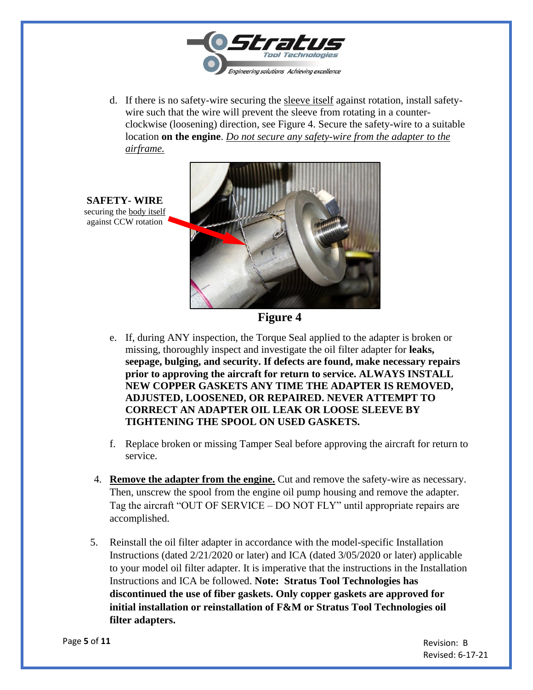

d. If there is no safety-wire securing the sleeve itself against rotation, install safetywire such that the wire will prevent the sleeve from rotating in a counterclockwise (loosening) direction, see Figure 4. Secure the safety-wire to a suitable location **on the engine**. *Do not secure any safety-wire from the adapter to the airframe.*



**Figure 4**

- e. If, during ANY inspection, the Torque Seal applied to the adapter is broken or missing, thoroughly inspect and investigate the oil filter adapter for **leaks, seepage, bulging, and security. If defects are found, make necessary repairs prior to approving the aircraft for return to service. ALWAYS INSTALL NEW COPPER GASKETS ANY TIME THE ADAPTER IS REMOVED, ADJUSTED, LOOSENED, OR REPAIRED. NEVER ATTEMPT TO CORRECT AN ADAPTER OIL LEAK OR LOOSE SLEEVE BY TIGHTENING THE SPOOL ON USED GASKETS.**
- f. Replace broken or missing Tamper Seal before approving the aircraft for return to service.
- 4. **Remove the adapter from the engine.** Cut and remove the safety-wire as necessary. Then, unscrew the spool from the engine oil pump housing and remove the adapter. Tag the aircraft "OUT OF SERVICE – DO NOT FLY" until appropriate repairs are accomplished.
- 5. Reinstall the oil filter adapter in accordance with the model-specific Installation Instructions (dated 2/21/2020 or later) and ICA (dated 3/05/2020 or later) applicable to your model oil filter adapter. It is imperative that the instructions in the Installation Instructions and ICA be followed. **Note: Stratus Tool Technologies has discontinued the use of fiber gaskets. Only copper gaskets are approved for initial installation or reinstallation of F&M or Stratus Tool Technologies oil filter adapters.**

**SAFETY- WIRE** securing the body itself against CCW rotation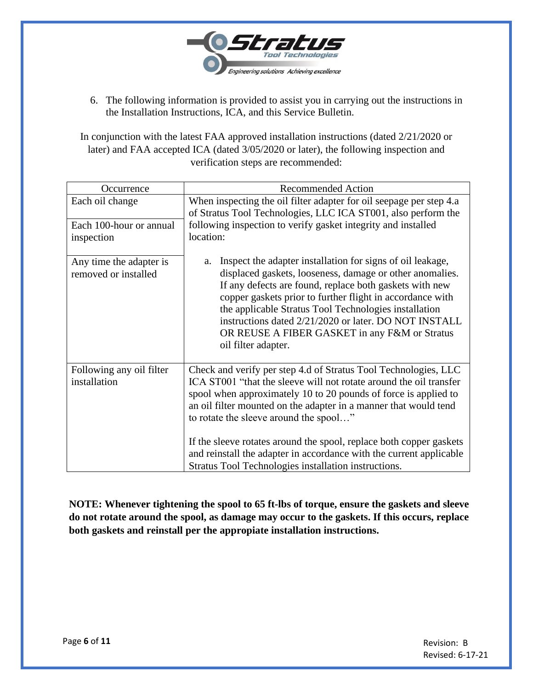

6. The following information is provided to assist you in carrying out the instructions in the Installation Instructions, ICA, and this Service Bulletin.

In conjunction with the latest FAA approved installation instructions (dated 2/21/2020 or later) and FAA accepted ICA (dated 3/05/2020 or later), the following inspection and verification steps are recommended:

| Occurrence               | <b>Recommended Action</b>                                                                                                                                                                                                                                                                                                                                                  |  |  |
|--------------------------|----------------------------------------------------------------------------------------------------------------------------------------------------------------------------------------------------------------------------------------------------------------------------------------------------------------------------------------------------------------------------|--|--|
| Each oil change          | When inspecting the oil filter adapter for oil seepage per step 4.a                                                                                                                                                                                                                                                                                                        |  |  |
|                          | of Stratus Tool Technologies, LLC ICA ST001, also perform the                                                                                                                                                                                                                                                                                                              |  |  |
| Each 100-hour or annual  | following inspection to verify gasket integrity and installed                                                                                                                                                                                                                                                                                                              |  |  |
| inspection               | location:                                                                                                                                                                                                                                                                                                                                                                  |  |  |
|                          |                                                                                                                                                                                                                                                                                                                                                                            |  |  |
| Any time the adapter is  | Inspect the adapter installation for signs of oil leakage,<br>a.                                                                                                                                                                                                                                                                                                           |  |  |
| removed or installed     | displaced gaskets, looseness, damage or other anomalies.<br>If any defects are found, replace both gaskets with new<br>copper gaskets prior to further flight in accordance with<br>the applicable Stratus Tool Technologies installation<br>instructions dated 2/21/2020 or later. DO NOT INSTALL<br>OR REUSE A FIBER GASKET in any F&M or Stratus<br>oil filter adapter. |  |  |
| Following any oil filter | Check and verify per step 4.d of Stratus Tool Technologies, LLC                                                                                                                                                                                                                                                                                                            |  |  |
| installation             | ICA ST001 "that the sleeve will not rotate around the oil transfer                                                                                                                                                                                                                                                                                                         |  |  |
|                          | spool when approximately 10 to 20 pounds of force is applied to                                                                                                                                                                                                                                                                                                            |  |  |
|                          | an oil filter mounted on the adapter in a manner that would tend                                                                                                                                                                                                                                                                                                           |  |  |
|                          | to rotate the sleeve around the spool"                                                                                                                                                                                                                                                                                                                                     |  |  |
|                          | If the sleeve rotates around the spool, replace both copper gaskets                                                                                                                                                                                                                                                                                                        |  |  |
|                          | and reinstall the adapter in accordance with the current applicable                                                                                                                                                                                                                                                                                                        |  |  |
|                          | Stratus Tool Technologies installation instructions.                                                                                                                                                                                                                                                                                                                       |  |  |
|                          |                                                                                                                                                                                                                                                                                                                                                                            |  |  |

**NOTE: Whenever tightening the spool to 65 ft-lbs of torque, ensure the gaskets and sleeve do not rotate around the spool, as damage may occur to the gaskets. If this occurs, replace both gaskets and reinstall per the appropiate installation instructions.**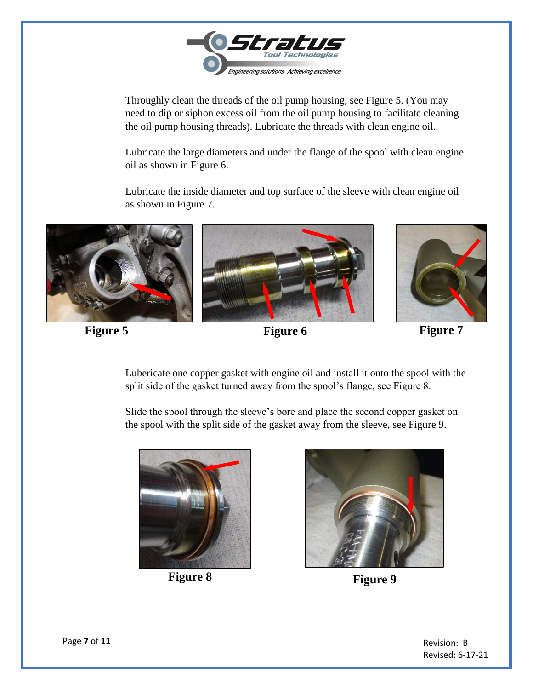

Throughly clean the threads of the oil pump housing, see Figure 5. (You may need to dip or siphon excess oil from the oil pump housing to facilitate cleaning the oil pump housing threads). Lubricate the threads with clean engine oil.

Lubricate the large diameters and under the flange of the spool with clean engine oil as shown in Figure 6.

Lubricate the inside diameter and top surface of the sleeve with clean engine oil as shown in Figure 7.



**Figure 5 Figure 6 Figure 7 Figure 7 Figure 7** 



Lubericate one copper gasket with engine oil and install it onto the spool with the split side of the gasket turned away from the spool's flange, see Figure 8.

Slide the spool through the sleeve's bore and place the second copper gasket on the spool with the split side of the gasket away from the sleeve, see Figure 9.



**Figure 8 Figure 9**

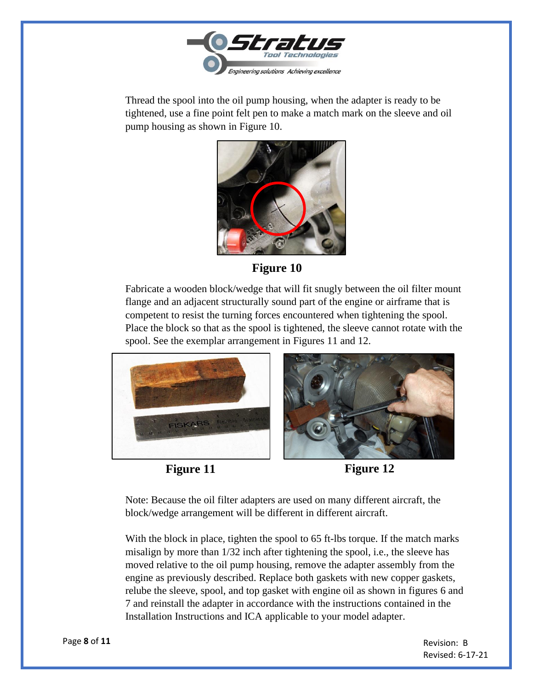

Thread the spool into the oil pump housing, when the adapter is ready to be tightened, use a fine point felt pen to make a match mark on the sleeve and oil pump housing as shown in Figure 10.



**Figure 10**

Fabricate a wooden block/wedge that will fit snugly between the oil filter mount flange and an adjacent structurally sound part of the engine or airframe that is competent to resist the turning forces encountered when tightening the spool. Place the block so that as the spool is tightened, the sleeve cannot rotate with the spool. See the exemplar arrangement in Figures 11 and 12.



**Figure 11 Figure 12** 

Note: Because the oil filter adapters are used on many different aircraft, the block/wedge arrangement will be different in different aircraft.

With the block in place, tighten the spool to 65 ft-lbs torque. If the match marks misalign by more than 1/32 inch after tightening the spool, i.e., the sleeve has moved relative to the oil pump housing, remove the adapter assembly from the engine as previously described. Replace both gaskets with new copper gaskets, relube the sleeve, spool, and top gasket with engine oil as shown in figures 6 and 7 and reinstall the adapter in accordance with the instructions contained in the Installation Instructions and ICA applicable to your model adapter.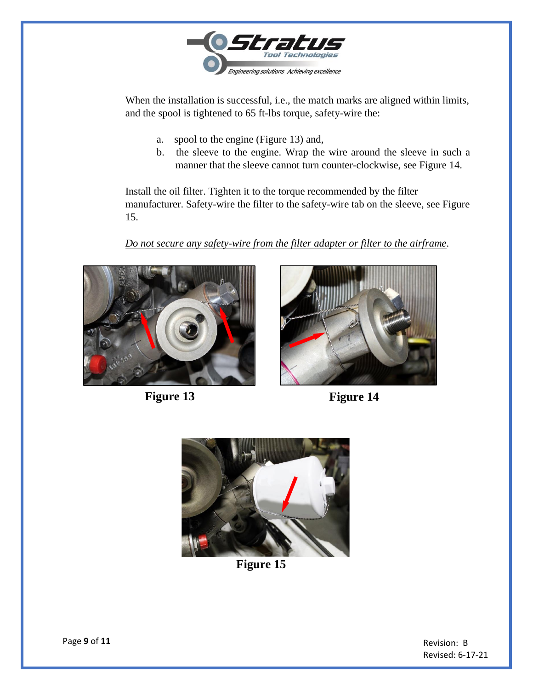

When the installation is successful, i.e., the match marks are aligned within limits, and the spool is tightened to 65 ft-lbs torque, safety-wire the:

- a. spool to the engine (Figure 13) and,
- b. the sleeve to the engine. Wrap the wire around the sleeve in such a manner that the sleeve cannot turn counter-clockwise, see Figure 14.

Install the oil filter. Tighten it to the torque recommended by the filter manufacturer. Safety-wire the filter to the safety-wire tab on the sleeve, see Figure 15.

*Do not secure any safety-wire from the filter adapter or filter to the airframe*.











**Figure 15**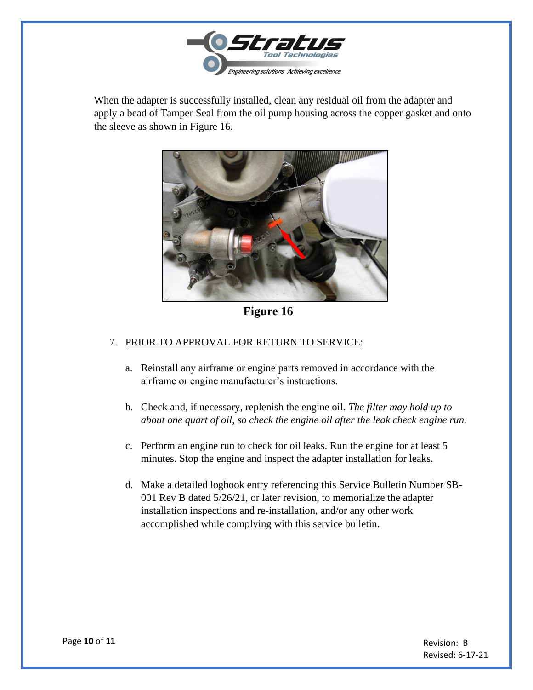

When the adapter is successfully installed, clean any residual oil from the adapter and apply a bead of Tamper Seal from the oil pump housing across the copper gasket and onto the sleeve as shown in Figure 16.



**Figure 16**

#### 7. PRIOR TO APPROVAL FOR RETURN TO SERVICE:

- a. Reinstall any airframe or engine parts removed in accordance with the airframe or engine manufacturer's instructions.
- b. Check and, if necessary, replenish the engine oil. *The filter may hold up to about one quart of oil, so check the engine oil after the leak check engine run.*
- c. Perform an engine run to check for oil leaks. Run the engine for at least 5 minutes. Stop the engine and inspect the adapter installation for leaks.
- d. Make a detailed logbook entry referencing this Service Bulletin Number SB-001 Rev B dated 5/26/21, or later revision, to memorialize the adapter installation inspections and re-installation, and/or any other work accomplished while complying with this service bulletin.